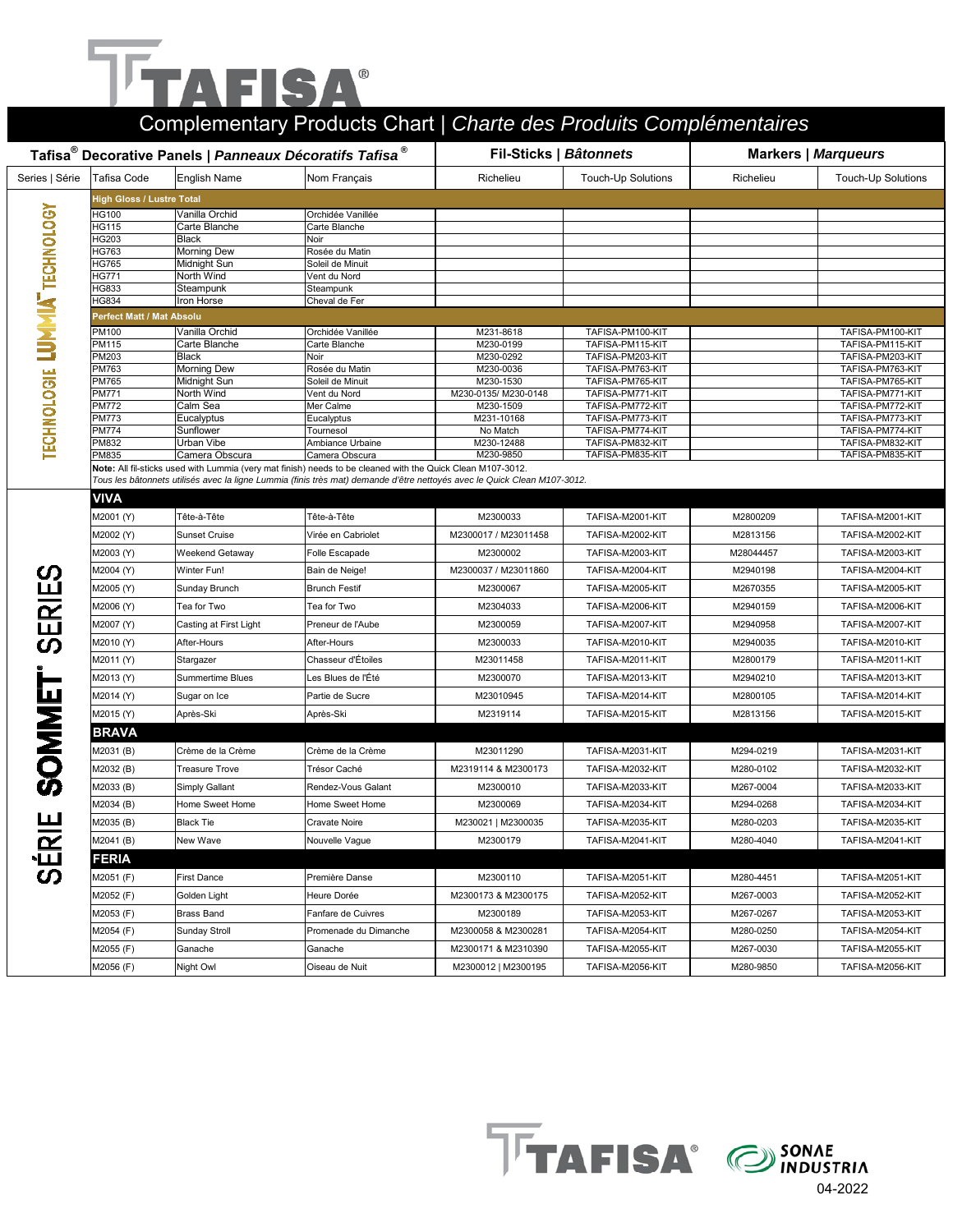# **TAFISA®**

|                    |                                                                                 |                              | Complementary Products Chart   Charte des Produits Complémentaires                                                       |                                   |                                      |                            |                                      |  |  |  |
|--------------------|---------------------------------------------------------------------------------|------------------------------|--------------------------------------------------------------------------------------------------------------------------|-----------------------------------|--------------------------------------|----------------------------|--------------------------------------|--|--|--|
|                    | Tafisa <sup>®</sup> Decorative Panels   Panneaux Décoratifs Tafisa <sup>®</sup> |                              |                                                                                                                          |                                   | Fil-Sticks   Bâtonnets               | <b>Markers   Marqueurs</b> |                                      |  |  |  |
| Series   Série     | Tafisa Code                                                                     | <b>English Name</b>          | Nom Français                                                                                                             | Richelieu                         | <b>Touch-Up Solutions</b>            | Richelieu                  | <b>Touch-Up Solutions</b>            |  |  |  |
|                    | <b>High Gloss / Lustre Total</b>                                                |                              |                                                                                                                          |                                   |                                      |                            |                                      |  |  |  |
| TECHNOLOGY         | HG100                                                                           | Vanilla Orchid               | Orchidée Vanillée                                                                                                        |                                   |                                      |                            |                                      |  |  |  |
|                    | HG115                                                                           | Carte Blanche                | Carte Blanche                                                                                                            |                                   |                                      |                            |                                      |  |  |  |
|                    | HG203<br>HG763                                                                  | Black<br>Morning Dew         | Noir<br>Rosée du Matin                                                                                                   |                                   |                                      |                            |                                      |  |  |  |
|                    | HG765                                                                           | Midnight Sun                 | Soleil de Minuit                                                                                                         |                                   |                                      |                            |                                      |  |  |  |
|                    | HG771                                                                           | North Wind                   | Vent du Nord                                                                                                             |                                   |                                      |                            |                                      |  |  |  |
|                    | HG833<br>HG834                                                                  | Steampunk                    | Steampunk                                                                                                                |                                   |                                      |                            |                                      |  |  |  |
|                    | <b>Perfect Matt / Mat Absolu</b>                                                | Iron Horse                   | Cheval de Fer                                                                                                            |                                   |                                      |                            |                                      |  |  |  |
|                    | PM100                                                                           | Vanilla Orchid               | Orchidée Vanillée                                                                                                        | M231-8618                         | TAFISA-PM100-KIT                     |                            | TAFISA-PM100-KIT                     |  |  |  |
|                    | PM115                                                                           | Carte Blanche                | Carte Blanche                                                                                                            | M230-0199                         | TAFISA-PM115-KIT                     |                            | TAFISA-PM115-KIT                     |  |  |  |
|                    | PM203                                                                           | <b>Black</b>                 | Noir                                                                                                                     | M230-0292                         | TAFISA-PM203-KIT                     |                            | TAFISA-PM203-KIT                     |  |  |  |
|                    | PM763                                                                           | <b>Morning Dew</b>           | Rosée du Matin                                                                                                           | M230-0036                         | TAFISA-PM763-KIT                     |                            | TAFISA-PM763-KIT                     |  |  |  |
|                    | PM765<br>PM771                                                                  | Midnight Sun<br>North Wind   | Soleil de Minuit<br>Vent du Nord                                                                                         | M230-1530<br>M230-0135/ M230-0148 | TAFISA-PM765-KIT<br>TAFISA-PM771-KIT |                            | TAFISA-PM765-KIT<br>TAFISA-PM771-KIT |  |  |  |
|                    | PM772                                                                           | Calm Sea                     | Mer Calme                                                                                                                | M230-1509                         | TAFISA-PM772-KIT                     |                            | TAFISA-PM772-KIT                     |  |  |  |
|                    | PM773                                                                           | Eucalyptus                   | Eucalyptus                                                                                                               | M231-10168                        | TAFISA-PM773-KIT                     |                            | TAFISA-PM773-KIT                     |  |  |  |
|                    | PM774                                                                           | Sunflower                    | Tournesol                                                                                                                | No Match                          | TAFISA-PM774-KIT                     |                            | TAFISA-PM774-KIT                     |  |  |  |
| <b>TECHNOLOGIE</b> | PM832<br>PM835                                                                  | Urban Vibe<br>Camera Obscura | Ambiance Urbaine<br>Camera Obscura                                                                                       | M230-12488<br>M230-9850           | TAFISA-PM832-KIT<br>TAFISA-PM835-KIT |                            | TAFISA-PM832-KIT<br>TAFISA-PM835-KIT |  |  |  |
|                    |                                                                                 |                              | Note: All fil-sticks used with Lummia (very mat finish) needs to be cleaned with the Quick Clean M107-3012.              |                                   |                                      |                            |                                      |  |  |  |
|                    |                                                                                 |                              | Tous les bâtonnets utilisés avec la ligne Lummia (finis très mat) demande d'être nettoyés avec le Quick Clean M107-3012. |                                   |                                      |                            |                                      |  |  |  |
|                    | <b>VIVA</b>                                                                     |                              |                                                                                                                          |                                   |                                      |                            |                                      |  |  |  |
|                    | M2001 (Y)                                                                       | Tête-à-Tête                  | Tête-à-Tête                                                                                                              | M2300033                          | TAFISA-M2001-KIT                     | M2800209                   | TAFISA-M2001-KIT                     |  |  |  |
|                    | M2002 (Y)                                                                       | <b>Sunset Cruise</b>         | Virée en Cabriolet                                                                                                       | M2300017 / M23011458              | TAFISA-M2002-KIT                     | M2813156                   | TAFISA-M2002-KIT                     |  |  |  |
|                    | M2003 (Y)                                                                       | Weekend Getaway              | Folle Escapade                                                                                                           | M2300002                          | TAFISA-M2003-KIT                     | M28044457                  | TAFISA-M2003-KIT                     |  |  |  |
|                    | M2004 (Y)                                                                       | Winter Fun!                  | Bain de Neige!                                                                                                           | M2300037 / M23011860              | TAFISA-M2004-KIT                     | M2940198                   | TAFISA-M2004-KIT                     |  |  |  |
| йí                 | M2005 (Y)                                                                       | Sunday Brunch                | <b>Brunch Festif</b>                                                                                                     | M2300067                          | TAFISA-M2005-KIT                     | M2670355                   | TAFISA-M2005-KIT                     |  |  |  |
|                    | M2006 (Y)                                                                       | Tea for Two                  | Tea for Two                                                                                                              | M2304033                          | TAFISA-M2006-KIT                     | M2940159                   | TAFISA-M2006-KIT                     |  |  |  |
| <b>SERI</b>        | M2007 (Y)                                                                       | Casting at First Light       | Preneur de l'Aube                                                                                                        | M2300059                          | TAFISA-M2007-KIT                     | M2940958                   | TAFISA-M2007-KIT                     |  |  |  |
|                    | M2010 (Y)                                                                       | After-Hours                  | After-Hours                                                                                                              | M2300033                          | TAFISA-M2010-KIT                     | M2940035                   | TAFISA-M2010-KIT                     |  |  |  |
|                    | M2011 (Y)                                                                       | Stargazer                    | Chasseur d'Étoiles                                                                                                       | M23011458                         | TAFISA-M2011-KIT                     | M2800179                   | TAFISA-M2011-KIT                     |  |  |  |
|                    | M2013 (Y)                                                                       | Summertime Blues             | Les Blues de l'Été                                                                                                       | M2300070                          | TAFISA-M2013-KIT                     | M2940210                   | TAFISA-M2013-KIT                     |  |  |  |
|                    | M2014 (Y)                                                                       | Sugar on Ice                 | Partie de Sucre                                                                                                          | M23010945                         | TAFISA-M2014-KIT                     | M2800105                   | TAFISA-M2014-KIT                     |  |  |  |
| <b>DMMD</b>        | M2015 (Y)                                                                       | Après-Ski                    | Après-Ski                                                                                                                | M2319114                          | TAFISA-M2015-KIT                     | M2813156                   | TAFISA-M2015-KIT                     |  |  |  |
|                    | <b>BRAVA</b>                                                                    |                              |                                                                                                                          |                                   |                                      |                            |                                      |  |  |  |
|                    | M2031 (B)                                                                       | Crème de la Crème            | Crème de la Crème                                                                                                        | M23011290                         | TAFISA-M2031-KIT                     | M294-0219                  | TAFISA-M2031-KIT                     |  |  |  |
|                    | M2032 (B)                                                                       | <b>Treasure Trove</b>        | Trésor Caché                                                                                                             | M2319114 & M2300173               | TAFISA-M2032-KIT                     | M280-0102                  | TAFISA-M2032-KIT                     |  |  |  |
|                    | M2033 (B)                                                                       | Simply Gallant               | Rendez-Vous Galant                                                                                                       | M2300010                          | TAFISA-M2033-KIT                     | M267-0004                  | TAFISA-M2033-KIT                     |  |  |  |
|                    | M2034 (B)                                                                       | Home Sweet Home              | Home Sweet Home                                                                                                          | M2300069                          | TAFISA-M2034-KIT                     | M294-0268                  | TAFISA-M2034-KIT                     |  |  |  |
| <b>ERIE</b>        | M2035 (B)                                                                       | <b>Black Tie</b>             | Cravate Noire                                                                                                            | M230021   M2300035                | TAFISA-M2035-KIT                     | M280-0203                  | TAFISA-M2035-KIT                     |  |  |  |
|                    | M2041 (B)                                                                       | New Wave                     | Nouvelle Vague                                                                                                           | M2300179                          | TAFISA-M2041-KIT                     | M280-4040                  | TAFISA-M2041-KIT                     |  |  |  |
|                    | <b>FERIA</b>                                                                    |                              |                                                                                                                          |                                   |                                      |                            |                                      |  |  |  |
|                    | M2051 (F)                                                                       | <b>First Dance</b>           | Première Danse                                                                                                           | M2300110                          | TAFISA-M2051-KIT                     | M280-4451                  | TAFISA-M2051-KIT                     |  |  |  |
|                    | M2052 (F)                                                                       | Golden Light                 | Heure Dorée                                                                                                              | M2300173 & M2300175               | TAFISA-M2052-KIT                     | M267-0003                  | TAFISA-M2052-KIT                     |  |  |  |
|                    | M2053 (F)                                                                       | Brass Band                   | Fanfare de Cuivres                                                                                                       | M2300189                          | TAFISA-M2053-KIT                     | M267-0267                  | TAFISA-M2053-KIT                     |  |  |  |
|                    | M2054 (F)                                                                       | Sunday Stroll                | Promenade du Dimanche                                                                                                    | M2300058 & M2300281               | TAFISA-M2054-KIT                     | M280-0250                  | TAFISA-M2054-KIT                     |  |  |  |
|                    | M2055 (F)                                                                       | Ganache                      | Ganache                                                                                                                  | M2300171 & M2310390               | TAFISA-M2055-KIT                     | M267-0030                  | TAFISA-M2055-KIT                     |  |  |  |
|                    | M2056 (F)                                                                       | Night Owl                    | Oiseau de Nuit                                                                                                           | M2300012   M2300195               | TAFISA-M2056-KIT                     | M280-9850                  | TAFISA-M2056-KIT                     |  |  |  |

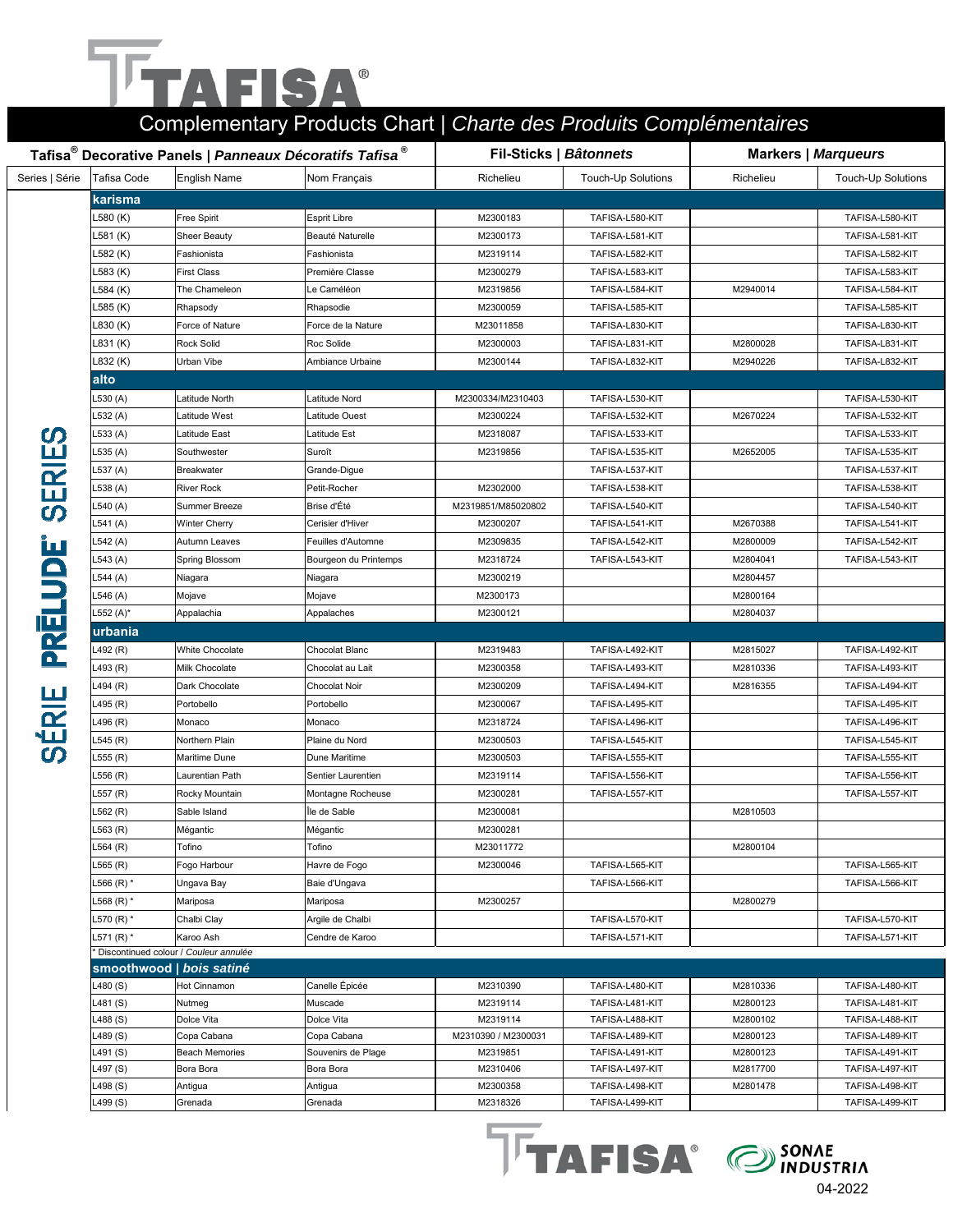### F  $^{\circledR}$ IS  $\blacktriangle$

### Complementary Products Chart | *Charte des Produits Complémentaires*

|                | Tafisa <sup>®</sup> Decorative Panels   Panneaux Décoratifs Tafisa <sup>®</sup> |                                       |                       |                      | Fil-Sticks   Bâtonnets             | <b>Markers   Marqueurs</b> |                                    |
|----------------|---------------------------------------------------------------------------------|---------------------------------------|-----------------------|----------------------|------------------------------------|----------------------------|------------------------------------|
| Series   Série | Tafisa Code                                                                     | <b>English Name</b>                   | Nom Français          | Richelieu            | <b>Touch-Up Solutions</b>          | Richelieu                  | <b>Touch-Up Solutions</b>          |
|                | karisma                                                                         |                                       |                       |                      |                                    |                            |                                    |
|                | L580 (K)                                                                        | Free Spirit                           | <b>Esprit Libre</b>   | M2300183             | TAFISA-L580-KIT                    |                            | TAFISA-L580-KIT                    |
|                | <sub>-</sub> 581 (K)                                                            | Sheer Beauty                          | Beauté Naturelle      | M2300173             | TAFISA-L581-KIT                    |                            | TAFISA-L581-KIT                    |
|                | <sub>-</sub> 582 (K)                                                            | Fashionista                           | Fashionista           | M2319114             | TAFISA-L582-KIT                    |                            | TAFISA-L582-KIT                    |
|                | <sub>-</sub> 583 (K)                                                            | <b>First Class</b>                    | Première Classe       | M2300279             | TAFISA-L583-KIT                    |                            | TAFISA-L583-KIT                    |
|                | <sub>-</sub> 584 (K)                                                            | The Chameleon                         | Le Caméléon           | M2319856             | TAFISA-L584-KIT                    | M2940014                   | TAFISA-L584-KIT                    |
|                | <sub>-</sub> 585 (K)                                                            | Rhapsody                              | Rhapsodie             | M2300059             | TAFISA-L585-KIT                    |                            | TAFISA-L585-KIT                    |
|                | L830 (K)                                                                        | Force of Nature                       | Force de la Nature    | M23011858            | TAFISA-L830-KIT                    |                            | TAFISA-L830-KIT                    |
|                | L831 (K)                                                                        | Rock Solid                            | Roc Solide            | M2300003             | TAFISA-L831-KIT                    | M2800028                   | TAFISA-L831-KIT                    |
|                | L832 (K)                                                                        | Urban Vibe                            | Ambiance Urbaine      | M2300144             | TAFISA-L832-KIT                    | M2940226                   | TAFISA-L832-KIT                    |
|                | alto                                                                            |                                       |                       |                      |                                    |                            |                                    |
|                | L530 (A)                                                                        | Latitude North                        | Latitude Nord         | M2300334/M2310403    | TAFISA-L530-KIT                    |                            | TAFISA-L530-KIT                    |
|                | .532 (A)                                                                        | Latitude West                         | Latitude Ouest        | M2300224             | TAFISA-L532-KIT                    | M2670224                   | TAFISA-L532-KIT                    |
|                | .533 (A)                                                                        | Latitude East                         | Latitude Est          | M2318087             | TAFISA-L533-KIT                    |                            | TAFISA-L533-KIT                    |
|                | .535 (A)                                                                        | Southwester                           | Suroît                | M2319856             | TAFISA-L535-KIT                    | M2652005                   | TAFISA-L535-KIT                    |
|                | .537 (A)                                                                        | <b>Breakwater</b>                     | Grande-Digue          |                      | TAFISA-L537-KIT                    |                            | TAFISA-L537-KIT                    |
|                | .538 (A)                                                                        | <b>River Rock</b>                     | Petit-Rocher          | M2302000             | TAFISA-L538-KIT                    |                            | TAFISA-L538-KIT                    |
| <b>SERIES</b>  | .540 (A)                                                                        | Summer Breeze                         | Brise d'Été           | M2319851/M85020802   | TAFISA-L540-KIT                    |                            | TAFISA-L540-KIT                    |
|                | $-541(A)$                                                                       | Winter Cherry                         | Cerisier d'Hiver      | M2300207             | TAFISA-L541-KIT                    | M2670388                   | TAFISA-L541-KIT                    |
|                | .542 (A)                                                                        | Autumn Leaves                         | Feuilles d'Automne    | M2309835             | TAFISA-L542-KIT                    | M2800009                   | TAFISA-L542-KIT                    |
|                | <sub>-</sub> 543 (A)                                                            | Spring Blossom                        | Bourgeon du Printemps | M2318724             | TAFISA-L543-KIT                    | M2804041                   | TAFISA-L543-KIT                    |
|                | <sub>-</sub> 544 (A)                                                            | Niagara                               | Niagara               | M2300219             |                                    | M2804457                   |                                    |
|                | .546 (A)                                                                        | Mojave                                | Mojave                | M2300173             |                                    | M2800164                   |                                    |
| <b>PREL</b>    | ∟552 $(A)^*$                                                                    | Appalachia                            | Appalaches            | M2300121             |                                    | M2804037                   |                                    |
|                | urbania                                                                         |                                       |                       |                      |                                    |                            |                                    |
|                | .492 (R)                                                                        | White Chocolate                       | Chocolat Blanc        | M2319483             | TAFISA-L492-KIT                    | M2815027                   | TAFISA-L492-KIT                    |
|                | .493 (R)                                                                        | Milk Chocolate                        | Chocolat au Lait      | M2300358             | TAFISA-L493-KIT                    | M2810336                   | TAFISA-L493-KIT                    |
|                | .494 (R)                                                                        | Dark Chocolate                        | Chocolat Noir         | M2300209             | TAFISA-L494-KIT                    | M2816355                   | TAFISA-L494-KIT                    |
|                | .495 (R)                                                                        | Portobello                            | Portobello            | M2300067             | TAFISA-L495-KIT                    |                            | TAFISA-L495-KIT                    |
|                | .496 (R)                                                                        | Monaco                                | Monaco                | M2318724             | TAFISA-L496-KIT                    |                            | TAFISA-L496-KIT                    |
| SERIE          | 545 (R)                                                                         | Northern Plain                        | Plaine du Nord        | M2300503             | TAFISA-L545-KIT                    |                            | TAFISA-L545-KIT                    |
|                | .555 (R)                                                                        | Maritime Dune                         | Dune Maritime         | M2300503             | TAFISA-L555-KIT                    |                            | TAFISA-L555-KIT                    |
|                | .556 (R)                                                                        | Laurentian Path                       | Sentier Laurentien    | M2319114             | TAFISA-L556-KIT                    |                            | TAFISA-L556-KIT                    |
|                | L557 (R)                                                                        | Rocky Mountain                        | Montagne Rocheuse     | M2300281             | TAFISA-L557-KIT                    |                            | TAFISA-L557-KIT                    |
|                | .562 (R)                                                                        | Sable Island                          | Île de Sable          | M2300081             |                                    | M2810503                   |                                    |
|                | .563 (R)                                                                        | Mégantic                              | Mégantic              | M2300281             |                                    |                            |                                    |
|                | L564 (R)                                                                        | Tofino                                | Tofino                | M23011772            |                                    | M2800104                   |                                    |
|                | .565 (R)                                                                        | Fogo Harbour                          | Havre de Fogo         | M2300046             | TAFISA-L565-KIT                    |                            | TAFISA-L565-KIT                    |
|                | $.566(R)$ *                                                                     | Ungava Bay                            | Baie d'Ungava         |                      | TAFISA-L566-KIT                    |                            | TAFISA-L566-KIT                    |
|                | $.568(R)$ *                                                                     | Mariposa                              | Mariposa              | M2300257             |                                    | M2800279                   |                                    |
|                | L570 (R) *                                                                      | Chalbi Clay                           | Argile de Chalbi      |                      | TAFISA-L570-KIT                    |                            | TAFISA-L570-KIT                    |
|                | L571 (R) *                                                                      | Karoo Ash                             | Cendre de Karoo       |                      | TAFISA-L571-KIT                    |                            | TAFISA-L571-KIT                    |
|                |                                                                                 | Discontinued colour / Couleur annulée |                       |                      |                                    |                            |                                    |
|                |                                                                                 | smoothwood   bois satiné              |                       |                      |                                    |                            |                                    |
|                | $-480(S)$                                                                       | Hot Cinnamon                          | Canelle Épicée        | M2310390             | TAFISA-L480-KIT                    | M2810336                   | TAFISA-L480-KIT                    |
|                | L481 (S)                                                                        | Nutmeg                                | Muscade               | M2319114             | TAFISA-L481-KIT                    | M2800123                   | TAFISA-L481-KIT                    |
|                | $-488(S)$                                                                       | Dolce Vita                            | Dolce Vita            | M2319114             | TAFISA-L488-KIT                    | M2800102                   | TAFISA-L488-KIT                    |
|                | $-489(S)$                                                                       | Copa Cabana                           | Copa Cabana           | M2310390 / M2300031  | TAFISA-L489-KIT                    | M2800123                   | TAFISA-L489-KIT                    |
|                | .491 (S)                                                                        | Beach Memories                        | Souvenirs de Plage    | M2319851             | TAFISA-L491-KIT                    | M2800123                   | TAFISA-L491-KIT                    |
|                | $\text{\textperp}497 \text{\textcolor{red}{(S)}}$<br>$-498(S)$                  | Bora Bora<br>Antigua                  | Bora Bora<br>Antigua  | M2310406<br>M2300358 | TAFISA-L497-KIT<br>TAFISA-L498-KIT | M2817700<br>M2801478       | TAFISA-L497-KIT<br>TAFISA-L498-KIT |
|                | $-499(S)$                                                                       | Grenada                               | Grenada               | M2318326             | TAFISA-L499-KIT                    |                            | TAFISA-L499-KIT                    |
|                |                                                                                 |                                       |                       |                      |                                    |                            |                                    |